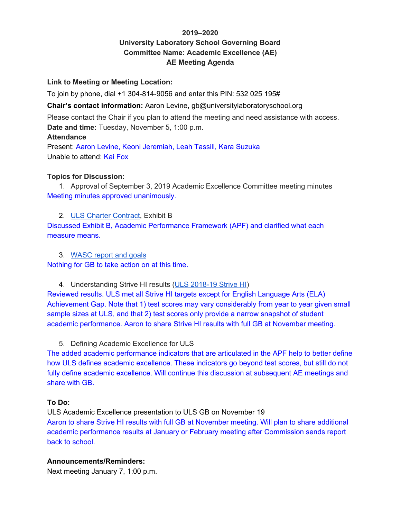## **2019–2020 University Laboratory School Governing Board Committee Name: Academic Excellence (AE) AE Meeting Agenda**

#### **Link to Meeting or Meeting Location:**

To join by phone, dial +1 304-814-9056 and enter this PIN: 532 025 195#

**Chair's contact information:** Aaron Levine, gb@universitylaboratoryschool.org

Please contact the Chair if you plan to attend the meeting and need assistance with access. **Date and time:** Tuesday, November 5, 1:00 p.m.

#### **Attendance**

Present: Aaron Levine, Keoni Jeremiah, Leah Tassill, Kara Suzuka Unable to attend: Kai Fox

#### **Topics for Discussion:**

1. Approval of September 3, 2019 Academic Excellence Committee meeting minutes Meeting minutes approved unanimously.

2. ULS Charter Contract, Exhibit B Discussed Exhibit B, Academic Performance Framework (APF) and clarified what each measure means.

3. WASC report and goals Nothing for GB to take action on at this time.

4. Understanding Strive HI results (ULS 2018-19 Strive HI) Reviewed results. ULS met all Strive HI targets except for English Language Arts (ELA) Achievement Gap. Note that 1) test scores may vary considerably from year to year given small sample sizes at ULS, and that 2) test scores only provide a narrow snapshot of student academic performance. Aaron to share Strive HI results with full GB at November meeting.

5. Defining Academic Excellence for ULS

The added academic performance indicators that are articulated in the APF help to better define how ULS defines academic excellence. These indicators go beyond test scores, but still do not fully define academic excellence. Will continue this discussion at subsequent AE meetings and share with GB.

### **To Do:**

ULS Academic Excellence presentation to ULS GB on November 19 Aaron to share Strive HI results with full GB at November meeting. Will plan to share additional academic performance results at January or February meeting after Commission sends report back to school.

#### **Announcements/Reminders:**

Next meeting January 7, 1:00 p.m.